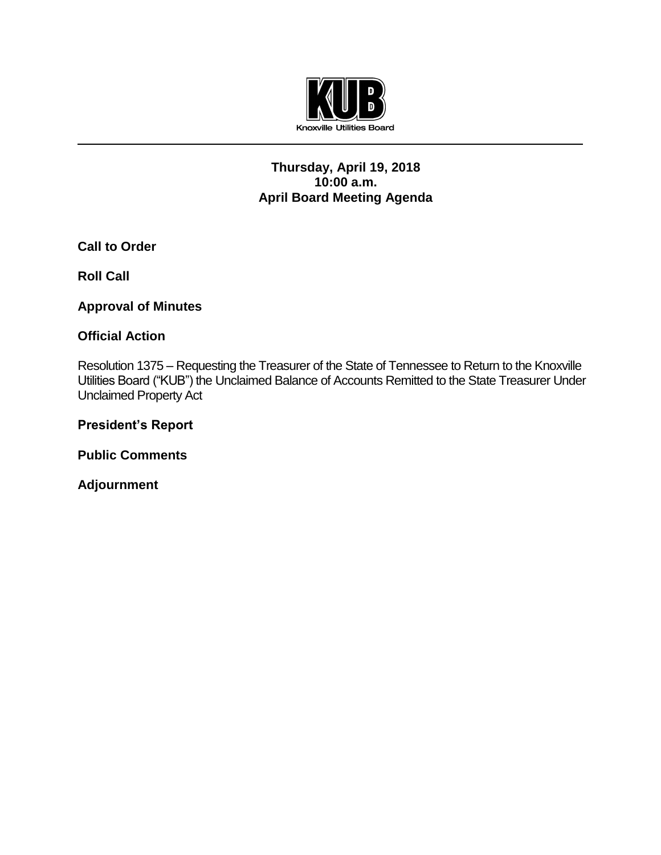

## **Thursday, April 19, 2018 10:00 a.m. April Board Meeting Agenda**

**Call to Order**

**Roll Call**

**Approval of Minutes**

## **Official Action**

Resolution 1375 – Requesting the Treasurer of the State of Tennessee to Return to the Knoxville Utilities Board ("KUB") the Unclaimed Balance of Accounts Remitted to the State Treasurer Under Unclaimed Property Act

**President's Report**

**Public Comments**

**Adjournment**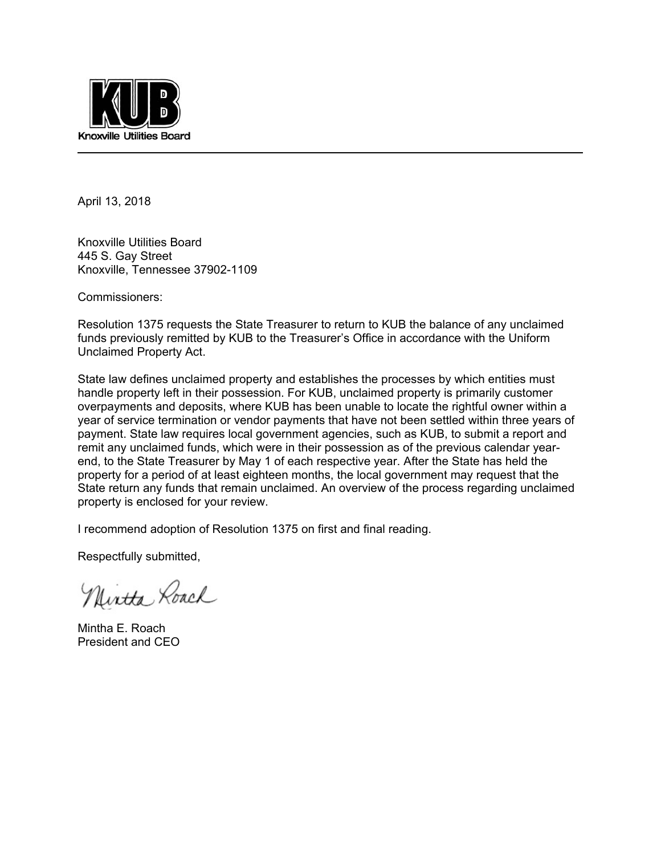

April 13, 2018

Knoxville Utilities Board 445 S. Gay Street Knoxville, Tennessee 37902-1109

Commissioners:

Resolution 1375 requests the State Treasurer to return to KUB the balance of any unclaimed funds previously remitted by KUB to the Treasurer's Office in accordance with the Uniform Unclaimed Property Act.

State law defines unclaimed property and establishes the processes by which entities must handle property left in their possession. For KUB, unclaimed property is primarily customer overpayments and deposits, where KUB has been unable to locate the rightful owner within a year of service termination or vendor payments that have not been settled within three years of payment. State law requires local government agencies, such as KUB, to submit a report and remit any unclaimed funds, which were in their possession as of the previous calendar yearend, to the State Treasurer by May 1 of each respective year. After the State has held the property for a period of at least eighteen months, the local government may request that the State return any funds that remain unclaimed. An overview of the process regarding unclaimed property is enclosed for your review.

I recommend adoption of Resolution 1375 on first and final reading.

Respectfully submitted,

Nintha Roach

Mintha E. Roach President and CEO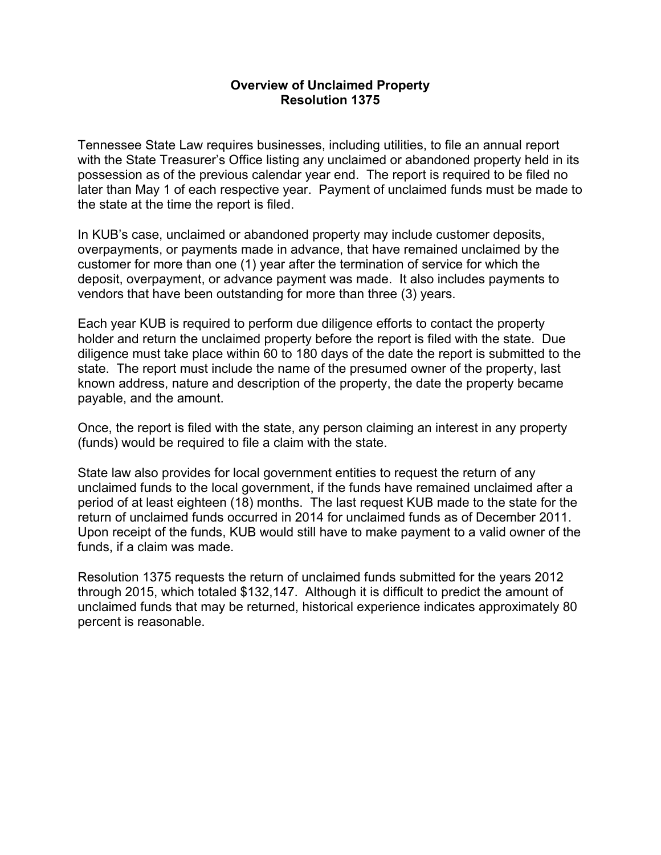#### **Overview of Unclaimed Property Resolution 1375**

Tennessee State Law requires businesses, including utilities, to file an annual report with the State Treasurer's Office listing any unclaimed or abandoned property held in its possession as of the previous calendar year end. The report is required to be filed no later than May 1 of each respective year. Payment of unclaimed funds must be made to the state at the time the report is filed.

In KUB's case, unclaimed or abandoned property may include customer deposits, overpayments, or payments made in advance, that have remained unclaimed by the customer for more than one (1) year after the termination of service for which the deposit, overpayment, or advance payment was made. It also includes payments to vendors that have been outstanding for more than three (3) years.

Each year KUB is required to perform due diligence efforts to contact the property holder and return the unclaimed property before the report is filed with the state. Due diligence must take place within 60 to 180 days of the date the report is submitted to the state. The report must include the name of the presumed owner of the property, last known address, nature and description of the property, the date the property became payable, and the amount.

Once, the report is filed with the state, any person claiming an interest in any property (funds) would be required to file a claim with the state.

State law also provides for local government entities to request the return of any unclaimed funds to the local government, if the funds have remained unclaimed after a period of at least eighteen (18) months. The last request KUB made to the state for the return of unclaimed funds occurred in 2014 for unclaimed funds as of December 2011. Upon receipt of the funds, KUB would still have to make payment to a valid owner of the funds, if a claim was made.

Resolution 1375 requests the return of unclaimed funds submitted for the years 2012 through 2015, which totaled \$132,147. Although it is difficult to predict the amount of unclaimed funds that may be returned, historical experience indicates approximately 80 percent is reasonable.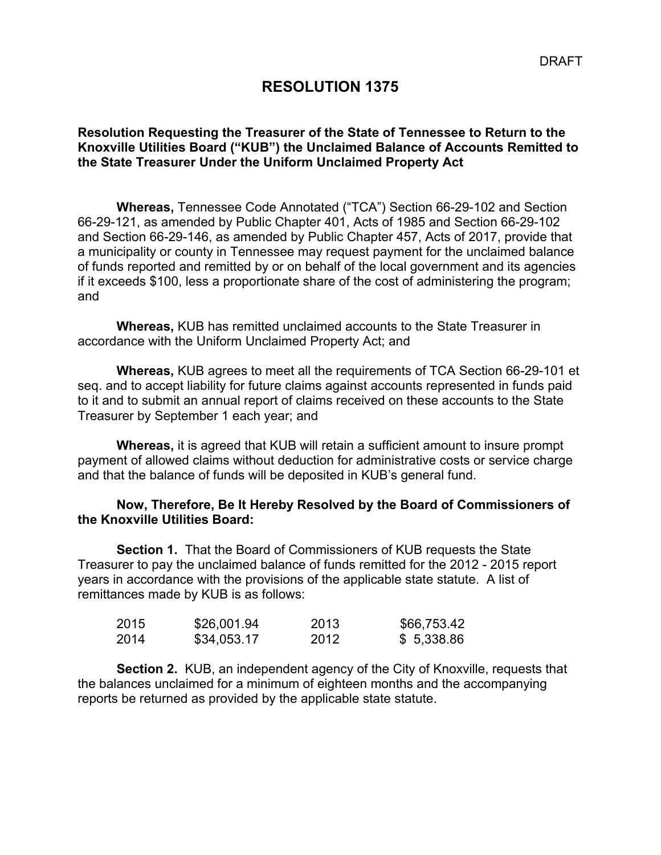## **RESOLUTION 1375**

## **Resolution Requesting the Treasurer of the State of Tennessee to Return to the Knoxville Utilities Board ("KUB") the Unclaimed Balance of Accounts Remitted to the State Treasurer Under the Uniform Unclaimed Property Act**

 **Whereas,** Tennessee Code Annotated ("TCA") Section 66-29-102 and Section 66-29-121, as amended by Public Chapter 401, Acts of 1985 and Section 66-29-102 and Section 66-29-146, as amended by Public Chapter 457, Acts of 2017, provide that a municipality or county in Tennessee may request payment for the unclaimed balance of funds reported and remitted by or on behalf of the local government and its agencies if it exceeds \$100, less a proportionate share of the cost of administering the program; and

**Whereas,** KUB has remitted unclaimed accounts to the State Treasurer in accordance with the Uniform Unclaimed Property Act; and

**Whereas,** KUB agrees to meet all the requirements of TCA Section 66-29-101 et seq. and to accept liability for future claims against accounts represented in funds paid to it and to submit an annual report of claims received on these accounts to the State Treasurer by September 1 each year; and

**Whereas,** it is agreed that KUB will retain a sufficient amount to insure prompt payment of allowed claims without deduction for administrative costs or service charge and that the balance of funds will be deposited in KUB's general fund.

#### **Now, Therefore, Be It Hereby Resolved by the Board of Commissioners of the Knoxville Utilities Board:**

**Section 1.** That the Board of Commissioners of KUB requests the State Treasurer to pay the unclaimed balance of funds remitted for the 2012 - 2015 report years in accordance with the provisions of the applicable state statute. A list of remittances made by KUB is as follows:

| 2015 | \$26,001.94 | 2013 | \$66,753.42 |
|------|-------------|------|-------------|
| 2014 | \$34,053.17 | 2012 | \$5,338.86  |

**Section 2.** KUB, an independent agency of the City of Knoxville, requests that the balances unclaimed for a minimum of eighteen months and the accompanying reports be returned as provided by the applicable state statute.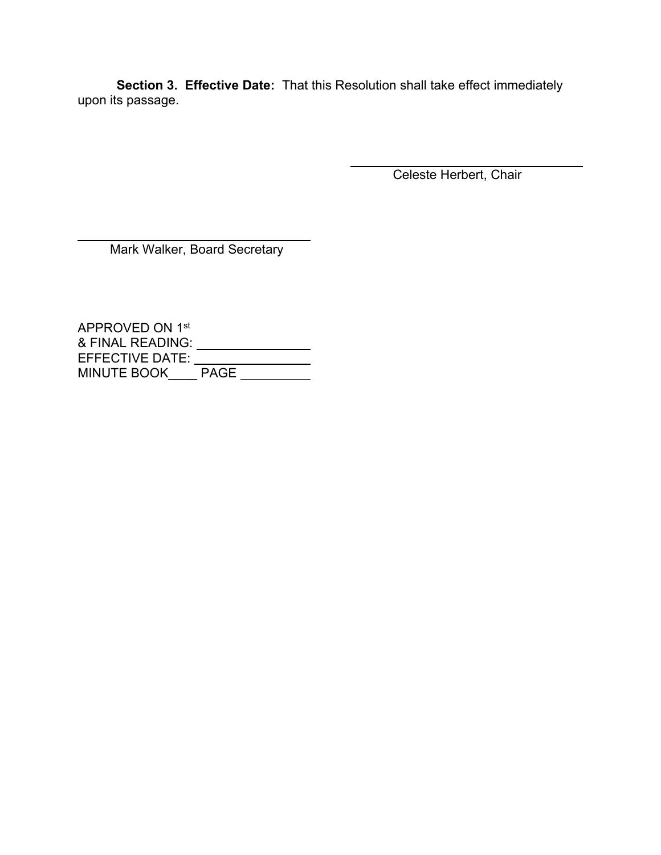**Section 3. Effective Date:** That this Resolution shall take effect immediately upon its passage.

Celeste Herbert, Chair

Mark Walker, Board Secretary

l

APPROVED ON 1st & FINAL READING: EFFECTIVE DATE: MINUTE BOOK\_\_\_\_ PAGE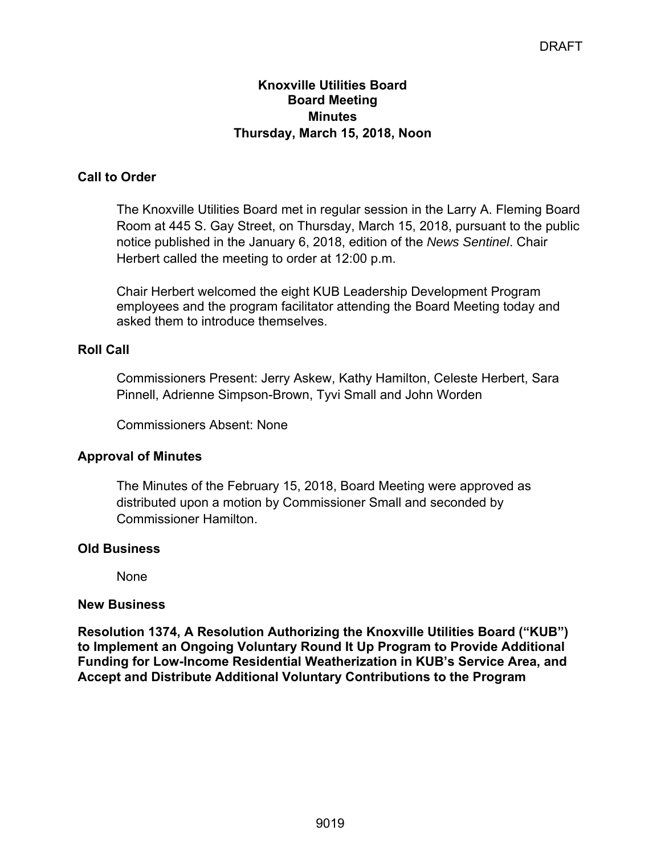## **Knoxville Utilities Board Board Meeting Minutes Thursday, March 15, 2018, Noon**

## **Call to Order**

The Knoxville Utilities Board met in regular session in the Larry A. Fleming Board Room at 445 S. Gay Street, on Thursday, March 15, 2018, pursuant to the public notice published in the January 6, 2018, edition of the *News Sentinel*. Chair Herbert called the meeting to order at 12:00 p.m.

Chair Herbert welcomed the eight KUB Leadership Development Program employees and the program facilitator attending the Board Meeting today and asked them to introduce themselves.

## **Roll Call**

Commissioners Present: Jerry Askew, Kathy Hamilton, Celeste Herbert, Sara Pinnell, Adrienne Simpson-Brown, Tyvi Small and John Worden

Commissioners Absent: None

## **Approval of Minutes**

The Minutes of the February 15, 2018, Board Meeting were approved as distributed upon a motion by Commissioner Small and seconded by Commissioner Hamilton.

## **Old Business**

None

## **New Business**

**Resolution 1374, A Resolution Authorizing the Knoxville Utilities Board ("KUB") to Implement an Ongoing Voluntary Round It Up Program to Provide Additional Funding for Low-Income Residential Weatherization in KUB's Service Area, and Accept and Distribute Additional Voluntary Contributions to the Program**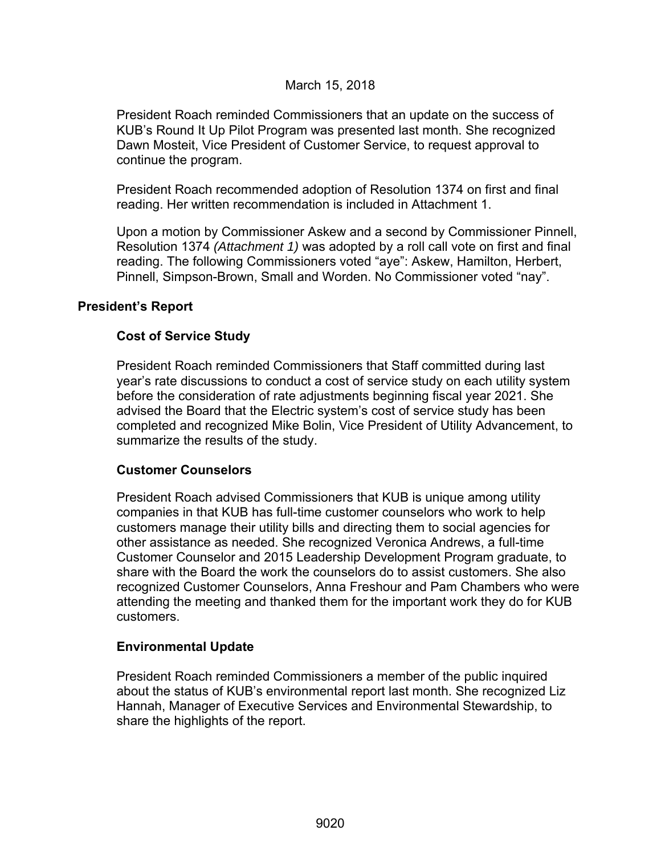## March 15, 2018

President Roach reminded Commissioners that an update on the success of KUB's Round It Up Pilot Program was presented last month. She recognized Dawn Mosteit, Vice President of Customer Service, to request approval to continue the program.

President Roach recommended adoption of Resolution 1374 on first and final reading. Her written recommendation is included in Attachment 1.

Upon a motion by Commissioner Askew and a second by Commissioner Pinnell, Resolution 1374 *(Attachment 1)* was adopted by a roll call vote on first and final reading. The following Commissioners voted "aye": Askew, Hamilton, Herbert, Pinnell, Simpson-Brown, Small and Worden. No Commissioner voted "nay".

#### **President's Report**

## **Cost of Service Study**

President Roach reminded Commissioners that Staff committed during last year's rate discussions to conduct a cost of service study on each utility system before the consideration of rate adjustments beginning fiscal year 2021. She advised the Board that the Electric system's cost of service study has been completed and recognized Mike Bolin, Vice President of Utility Advancement, to summarize the results of the study.

#### **Customer Counselors**

President Roach advised Commissioners that KUB is unique among utility companies in that KUB has full-time customer counselors who work to help customers manage their utility bills and directing them to social agencies for other assistance as needed. She recognized Veronica Andrews, a full-time Customer Counselor and 2015 Leadership Development Program graduate, to share with the Board the work the counselors do to assist customers. She also recognized Customer Counselors, Anna Freshour and Pam Chambers who were attending the meeting and thanked them for the important work they do for KUB customers.

#### **Environmental Update**

President Roach reminded Commissioners a member of the public inquired about the status of KUB's environmental report last month. She recognized Liz Hannah, Manager of Executive Services and Environmental Stewardship, to share the highlights of the report.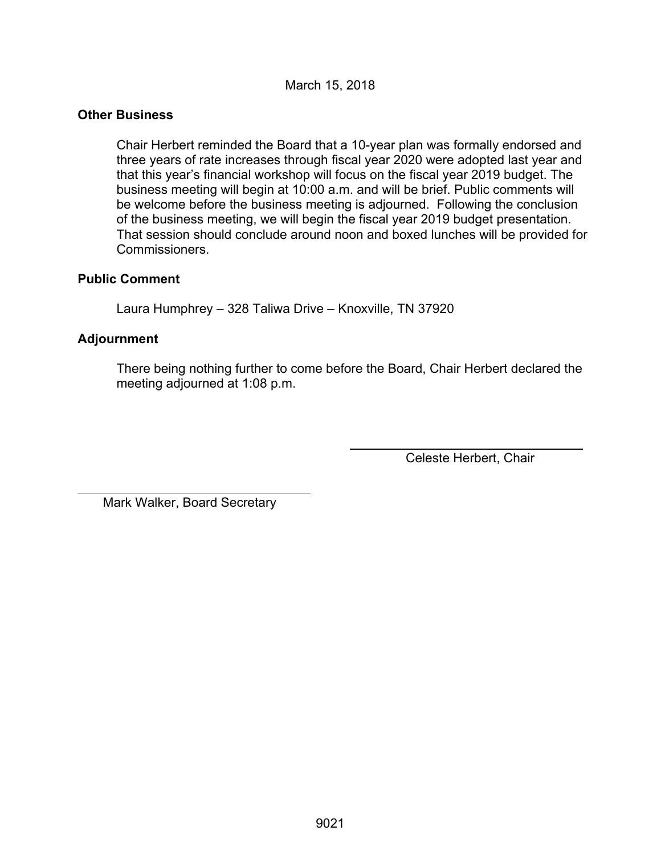March 15, 2018

### **Other Business**

Chair Herbert reminded the Board that a 10-year plan was formally endorsed and three years of rate increases through fiscal year 2020 were adopted last year and that this year's financial workshop will focus on the fiscal year 2019 budget. The business meeting will begin at 10:00 a.m. and will be brief. Public comments will be welcome before the business meeting is adjourned. Following the conclusion of the business meeting, we will begin the fiscal year 2019 budget presentation. That session should conclude around noon and boxed lunches will be provided for Commissioners.

#### **Public Comment**

Laura Humphrey – 328 Taliwa Drive – Knoxville, TN 37920

## **Adjournment**

l

There being nothing further to come before the Board, Chair Herbert declared the meeting adjourned at 1:08 p.m.

Celeste Herbert, Chair

Mark Walker, Board Secretary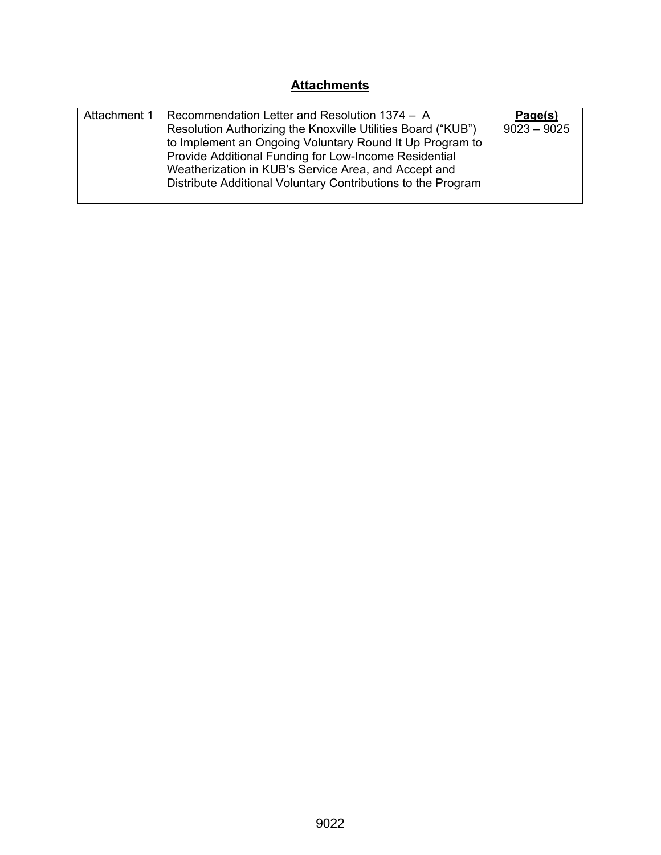# **Attachments**

| Attachment 1 | Recommendation Letter and Resolution 1374 - A<br>Resolution Authorizing the Knoxville Utilities Board ("KUB")<br>to Implement an Ongoing Voluntary Round It Up Program to<br>Provide Additional Funding for Low-Income Residential<br>Weatherization in KUB's Service Area, and Accept and<br>Distribute Additional Voluntary Contributions to the Program | Page(s)<br>$9023 - 9025$ |
|--------------|------------------------------------------------------------------------------------------------------------------------------------------------------------------------------------------------------------------------------------------------------------------------------------------------------------------------------------------------------------|--------------------------|
|              |                                                                                                                                                                                                                                                                                                                                                            |                          |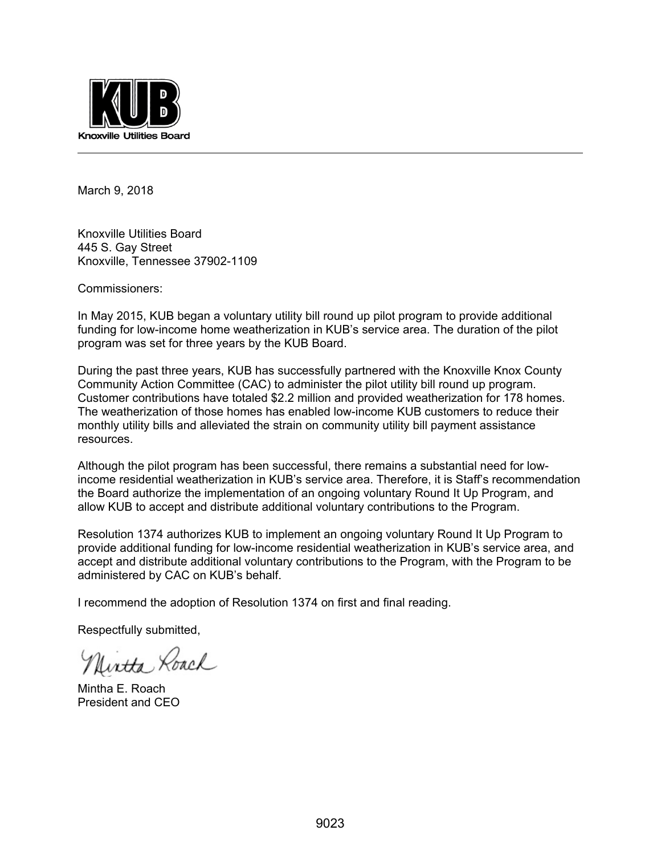

March 9, 2018

Knoxville Utilities Board 445 S. Gay Street Knoxville, Tennessee 37902-1109

Commissioners:

In May 2015, KUB began a voluntary utility bill round up pilot program to provide additional funding for low-income home weatherization in KUB's service area. The duration of the pilot program was set for three years by the KUB Board.

During the past three years, KUB has successfully partnered with the Knoxville Knox County Community Action Committee (CAC) to administer the pilot utility bill round up program. Customer contributions have totaled \$2.2 million and provided weatherization for 178 homes. The weatherization of those homes has enabled low-income KUB customers to reduce their monthly utility bills and alleviated the strain on community utility bill payment assistance resources.

Although the pilot program has been successful, there remains a substantial need for lowincome residential weatherization in KUB's service area. Therefore, it is Staff's recommendation the Board authorize the implementation of an ongoing voluntary Round It Up Program, and allow KUB to accept and distribute additional voluntary contributions to the Program.

Resolution 1374 authorizes KUB to implement an ongoing voluntary Round It Up Program to provide additional funding for low-income residential weatherization in KUB's service area, and accept and distribute additional voluntary contributions to the Program, with the Program to be administered by CAC on KUB's behalf.

I recommend the adoption of Resolution 1374 on first and final reading.

Respectfully submitted,

Uirtta Roach

Mintha E. Roach President and CEO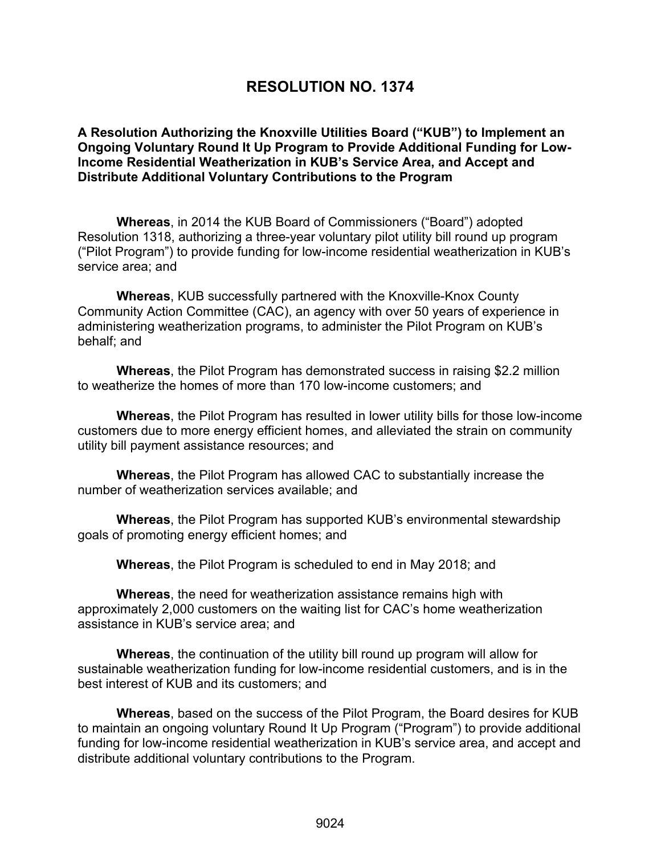# **RESOLUTION NO. 1374**

#### **A Resolution Authorizing the Knoxville Utilities Board ("KUB") to Implement an Ongoing Voluntary Round It Up Program to Provide Additional Funding for Low-Income Residential Weatherization in KUB's Service Area, and Accept and Distribute Additional Voluntary Contributions to the Program**

**Whereas**, in 2014 the KUB Board of Commissioners ("Board") adopted Resolution 1318, authorizing a three-year voluntary pilot utility bill round up program ("Pilot Program") to provide funding for low-income residential weatherization in KUB's service area; and

 **Whereas**, KUB successfully partnered with the Knoxville-Knox County Community Action Committee (CAC), an agency with over 50 years of experience in administering weatherization programs, to administer the Pilot Program on KUB's behalf; and

 **Whereas**, the Pilot Program has demonstrated success in raising \$2.2 million to weatherize the homes of more than 170 low-income customers; and

 **Whereas**, the Pilot Program has resulted in lower utility bills for those low-income customers due to more energy efficient homes, and alleviated the strain on community utility bill payment assistance resources; and

 **Whereas**, the Pilot Program has allowed CAC to substantially increase the number of weatherization services available; and

 **Whereas**, the Pilot Program has supported KUB's environmental stewardship goals of promoting energy efficient homes; and

 **Whereas**, the Pilot Program is scheduled to end in May 2018; and

 **Whereas**, the need for weatherization assistance remains high with approximately 2,000 customers on the waiting list for CAC's home weatherization assistance in KUB's service area; and

 **Whereas**, the continuation of the utility bill round up program will allow for sustainable weatherization funding for low-income residential customers, and is in the best interest of KUB and its customers; and

**Whereas**, based on the success of the Pilot Program, the Board desires for KUB to maintain an ongoing voluntary Round It Up Program ("Program") to provide additional funding for low-income residential weatherization in KUB's service area, and accept and distribute additional voluntary contributions to the Program.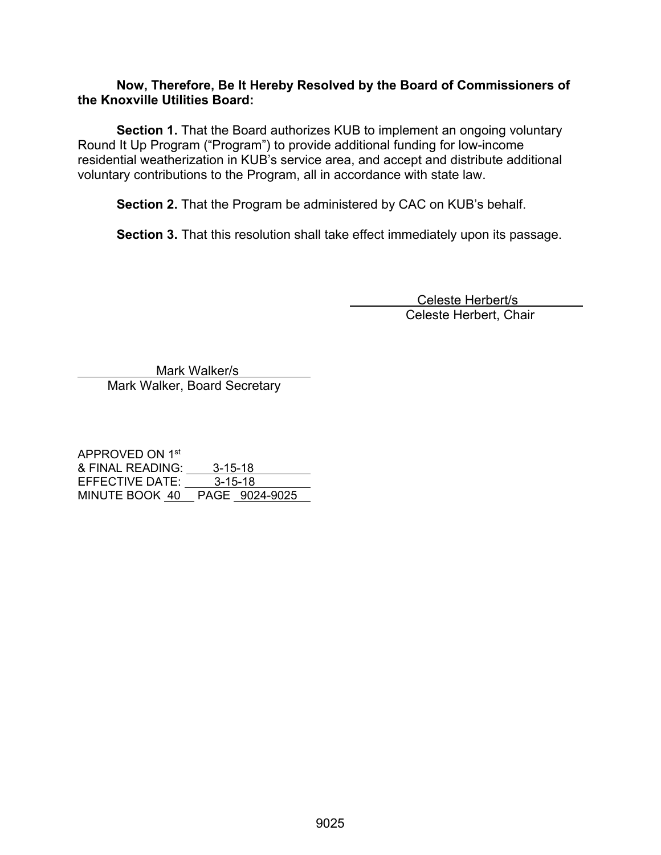#### **Now, Therefore, Be It Hereby Resolved by the Board of Commissioners of the Knoxville Utilities Board:**

**Section 1.** That the Board authorizes KUB to implement an ongoing voluntary Round It Up Program ("Program") to provide additional funding for low-income residential weatherization in KUB's service area, and accept and distribute additional voluntary contributions to the Program, all in accordance with state law.

**Section 2.** That the Program be administered by CAC on KUB's behalf.

**Section 3.** That this resolution shall take effect immediately upon its passage.

 Celeste Herbert/s Celeste Herbert, Chair

 Mark Walker/s Mark Walker, Board Secretary

APPROVED ON 1st & FINAL READING: 3-15-18 EFFECTIVE DATE:  $\frac{3.315}{3.15.18}$ MINUTE BOOK 40 PAGE 9024-9025